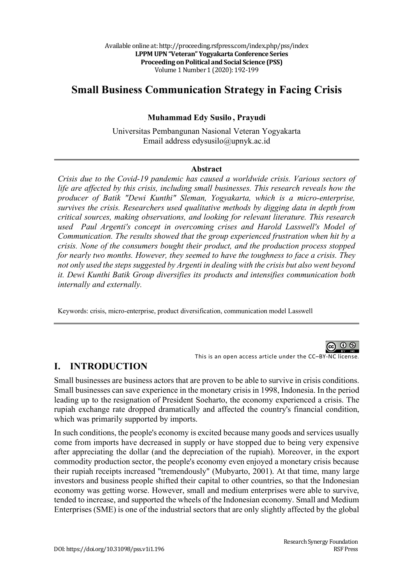# **Small Business Communication Strategy in Facing Crisis**

#### **Muhammad Edy Susilo , Prayudi**

Universitas Pembangunan Nasional Veteran Yogyakarta Email address edysusilo@upnyk.ac.id

#### **Abstract**

*Crisis due to the Covid-19 pandemic has caused a worldwide crisis. Various sectors of life are affected by this crisis, including small businesses. This research reveals how the producer of Batik "Dewi Kunthi" Sleman, Yogyakarta, which is a micro-enterprise, survives the crisis. Researchers used qualitative methods by digging data in depth from critical sources, making observations, and looking for relevant literature. This research used Paul Argenti's concept in overcoming crises and Harold Lasswell's Model of Communication. The results showed that the group experienced frustration when hit by a crisis. None of the consumers bought their product, and the production process stopped for nearly two months. However, they seemed to have the toughness to face a crisis. They not only used the steps suggested by Argenti in dealing with the crisis but also went beyond it. Dewi Kunthi Batik Group diversifies its products and intensifies communication both internally and externally.*

Keywords: crisis, micro-enterprise, product diversification, communication model Lasswell



This is an open access article under the CC–BY-NC license.

#### **I. INTRODUCTION**

Small businesses are business actors that are proven to be able to survive in crisis conditions. Small businesses can save experience in the monetary crisis in 1998, Indonesia. In the period leading up to the resignation of President Soeharto, the economy experienced a crisis. The rupiah exchange rate dropped dramatically and affected the country's financial condition, which was primarily supported by imports.

In such conditions, the people's economy is excited because many goods and services usually come from imports have decreased in supply or have stopped due to being very expensive after appreciating the dollar (and the depreciation of the rupiah). Moreover, in the export commodity production sector, the people's economy even enjoyed a monetary crisis because their rupiah receipts increased "tremendously" (Mubyarto, 2001). At that time, many large investors and business people shifted their capital to other countries, so that the Indonesian economy was getting worse. However, small and medium enterprises were able to survive, tended to increase, and supported the wheels of the Indonesian economy. Small and Medium Enterprises (SME) is one of the industrial sectors that are only slightly affected by the global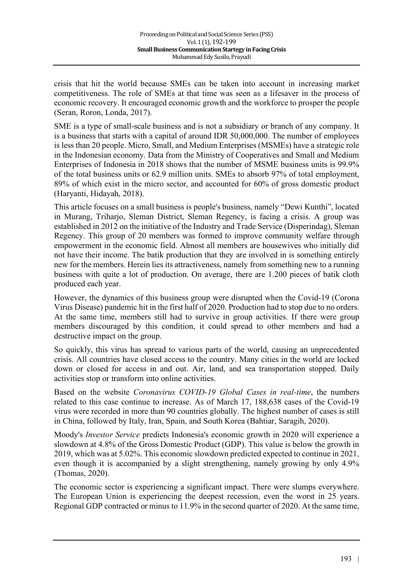crisis that hit the world because SMEs can be taken into account in increasing market competitiveness. The role of SMEs at that time was seen as a lifesaver in the process of economic recovery. It encouraged economic growth and the workforce to prosper the people (Seran, Roron, Londa, 2017).

SME is a type of small-scale business and is not a subsidiary or branch of any company. It is a business that starts with a capital of around IDR 50,000,000. The number of employees is less than 20 people. Micro, Small, and Medium Enterprises (MSMEs) have a strategic role in the Indonesian economy. Data from the Ministry of Cooperatives and Small and Medium Enterprises of Indonesia in 2018 shows that the number of MSME business units is 99.9% of the total business units or 62.9 million units. SMEs to absorb 97% of total employment, 89% of which exist in the micro sector, and accounted for 60% of gross domestic product (Haryanti, Hidayah, 2018).

This article focuses on a small business is people's business, namely "Dewi Kunthi", located in Murang, Triharjo, Sleman District, Sleman Regency, is facing a crisis. A group was established in 2012 on the initiative of the Industry and Trade Service (Disperindag), Sleman Regency. This group of 20 members was formed to improve community welfare through empowerment in the economic field. Almost all members are housewives who initially did not have their income. The batik production that they are involved in is something entirely new for the members. Herein lies its attractiveness, namely from something new to a running business with quite a lot of production. On average, there are 1.200 pieces of batik cloth produced each year.

However, the dynamics of this business group were disrupted when the Covid-19 (Corona Virus Disease) pandemic hit in the first half of 2020. Production had to stop due to no orders. At the same time, members still had to survive in group activities. If there were group members discouraged by this condition, it could spread to other members and had a destructive impact on the group.

So quickly, this virus has spread to various parts of the world, causing an unprecedented crisis. All countries have closed access to the country. Many cities in the world are locked down or closed for access in and out. Air, land, and sea transportation stopped. Daily activities stop or transform into online activities.

Based on the website *Coronavirus COVID-19 Global Cases in real-time*, the numbers related to this case continue to increase. As of March 17, 188,638 cases of the Covid-19 virus were recorded in more than 90 countries globally. The highest number of cases is still in China, followed by Italy, Iran, Spain, and South Korea (Bahtiar, Saragih, 2020).

Moody's *Investor Service* predicts Indonesia's economic growth in 2020 will experience a slowdown at 4.8% of the Gross Domestic Product (GDP). This value is below the growth in 2019, which was at 5.02%. This economic slowdown predicted expected to continue in 2021, even though it is accompanied by a slight strengthening, namely growing by only 4.9% (Thomas, 2020).

The economic sector is experiencing a significant impact. There were slumps everywhere. The European Union is experiencing the deepest recession, even the worst in 25 years. Regional GDP contracted or minus to 11.9% in the second quarter of 2020. At the same time,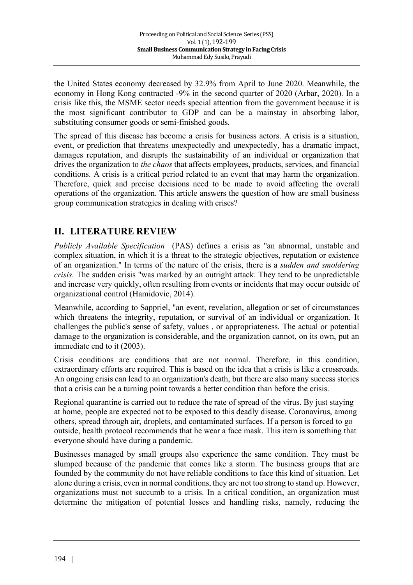the United States economy decreased by 32.9% from April to June 2020. Meanwhile, the economy in Hong Kong contracted -9% in the second quarter of 2020 (Arbar, 2020). In a crisis like this, the MSME sector needs special attention from the government because it is the most significant contributor to GDP and can be a mainstay in absorbing labor, substituting consumer goods or semi-finished goods.

The spread of this disease has become a crisis for business actors. A crisis is a situation, event, or prediction that threatens unexpectedly and unexpectedly, has a dramatic impact, damages reputation, and disrupts the sustainability of an individual or organization that drives the organization to *the chaos* that affects employees, products, services, and financial conditions. A crisis is a critical period related to an event that may harm the organization. Therefore, quick and precise decisions need to be made to avoid affecting the overall operations of the organization. This article answers the question of how are small business group communication strategies in dealing with crises?

### **II. LITERATURE REVIEW**

*Publicly Available Specification* (PAS) defines a crisis as "an abnormal, unstable and complex situation, in which it is a threat to the strategic objectives, reputation or existence of an organization." In terms of the nature of the crisis, there is a *sudden and smoldering crisis*. The sudden crisis "was marked by an outright attack. They tend to be unpredictable and increase very quickly, often resulting from events or incidents that may occur outside of organizational control (Hamidovic, 2014).

Meanwhile, according to Sappriel, "an event, revelation, allegation or set of circumstances which threatens the integrity, reputation, or survival of an individual or organization. It challenges the public's sense of safety, values , or appropriateness. The actual or potential damage to the organization is considerable, and the organization cannot, on its own, put an immediate end to it (2003).

Crisis conditions are conditions that are not normal. Therefore, in this condition, extraordinary efforts are required. This is based on the idea that a crisis is like a crossroads. An ongoing crisis can lead to an organization's death, but there are also many success stories that a crisis can be a turning point towards a better condition than before the crisis.

Regional quarantine is carried out to reduce the rate of spread of the virus. By just staying at home, people are expected not to be exposed to this deadly disease. Coronavirus, among others, spread through air, droplets, and contaminated surfaces. If a person is forced to go outside, health protocol recommends that he wear a face mask. This item is something that everyone should have during a pandemic.

Businesses managed by small groups also experience the same condition. They must be slumped because of the pandemic that comes like a storm. The business groups that are founded by the community do not have reliable conditions to face this kind of situation. Let alone during a crisis, even in normal conditions, they are not too strong to stand up. However, organizations must not succumb to a crisis. In a critical condition, an organization must determine the mitigation of potential losses and handling risks, namely, reducing the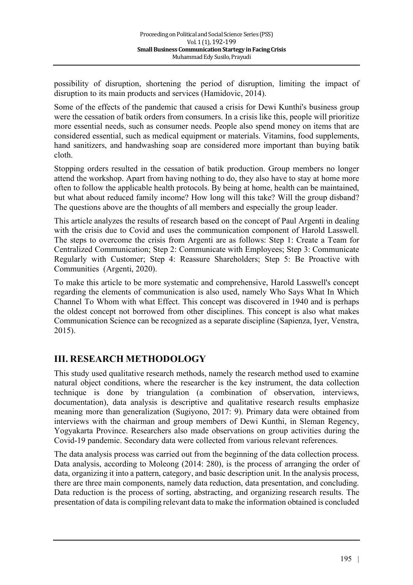possibility of disruption, shortening the period of disruption, limiting the impact of disruption to its main products and services (Hamidovic, 2014).

Some of the effects of the pandemic that caused a crisis for Dewi Kunthi's business group were the cessation of batik orders from consumers. In a crisis like this, people will prioritize more essential needs, such as consumer needs. People also spend money on items that are considered essential, such as medical equipment or materials. Vitamins, food supplements, hand sanitizers, and handwashing soap are considered more important than buying batik cloth.

Stopping orders resulted in the cessation of batik production. Group members no longer attend the workshop. Apart from having nothing to do, they also have to stay at home more often to follow the applicable health protocols. By being at home, health can be maintained, but what about reduced family income? How long will this take? Will the group disband? The questions above are the thoughts of all members and especially the group leader.

This article analyzes the results of research based on the concept of Paul Argenti in dealing with the crisis due to Covid and uses the communication component of Harold Lasswell. The steps to overcome the crisis from Argenti are as follows: Step 1: Create a Team for Centralized Communication; Step 2: Communicate with Employees; Step 3: Communicate Regularly with Customer; Step 4: Reassure Shareholders; Step 5: Be Proactive with Communities (Argenti, 2020).

To make this article to be more systematic and comprehensive, Harold Lasswell's concept regarding the elements of communication is also used, namely Who Says What In Which Channel To Whom with what Effect. This concept was discovered in 1940 and is perhaps the oldest concept not borrowed from other disciplines. This concept is also what makes Communication Science can be recognized as a separate discipline (Sapienza, Iyer, Venstra, 2015).

### **III. RESEARCH METHODOLOGY**

This study used qualitative research methods, namely the research method used to examine natural object conditions, where the researcher is the key instrument, the data collection technique is done by triangulation (a combination of observation, interviews, documentation), data analysis is descriptive and qualitative research results emphasize meaning more than generalization (Sugiyono, 2017: 9). Primary data were obtained from interviews with the chairman and group members of Dewi Kunthi, in Sleman Regency, Yogyakarta Province. Researchers also made observations on group activities during the Covid-19 pandemic. Secondary data were collected from various relevant references.

The data analysis process was carried out from the beginning of the data collection process. Data analysis, according to Moleong (2014: 280), is the process of arranging the order of data, organizing it into a pattern, category, and basic description unit. In the analysis process, there are three main components, namely data reduction, data presentation, and concluding. Data reduction is the process of sorting, abstracting, and organizing research results. The presentation of data is compiling relevant data to make the information obtained is concluded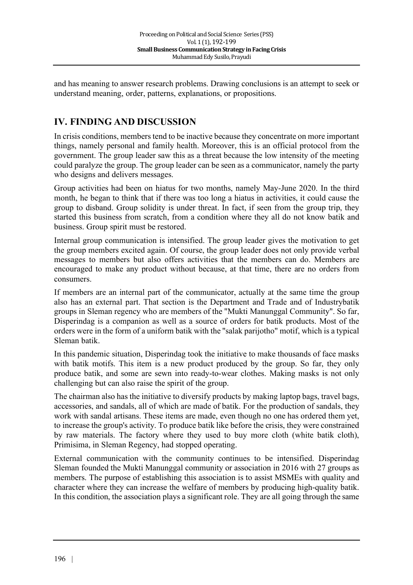and has meaning to answer research problems. Drawing conclusions is an attempt to seek or understand meaning, order, patterns, explanations, or propositions.

## **IV. FINDING AND DISCUSSION**

In crisis conditions, members tend to be inactive because they concentrate on more important things, namely personal and family health. Moreover, this is an official protocol from the government. The group leader saw this as a threat because the low intensity of the meeting could paralyze the group. The group leader can be seen as a communicator, namely the party who designs and delivers messages.

Group activities had been on hiatus for two months, namely May-June 2020. In the third month, he began to think that if there was too long a hiatus in activities, it could cause the group to disband. Group solidity is under threat. In fact, if seen from the group trip, they started this business from scratch, from a condition where they all do not know batik and business. Group spirit must be restored.

Internal group communication is intensified. The group leader gives the motivation to get the group members excited again. Of course, the group leader does not only provide verbal messages to members but also offers activities that the members can do. Members are encouraged to make any product without because, at that time, there are no orders from consumers.

If members are an internal part of the communicator, actually at the same time the group also has an external part. That section is the Department and Trade and of Industrybatik groups in Sleman regency who are members of the "Mukti Manunggal Community". So far, Disperindag is a companion as well as a source of orders for batik products. Most of the orders were in the form of a uniform batik with the "salak parijotho" motif, which is a typical Sleman batik.

In this pandemic situation, Disperindag took the initiative to make thousands of face masks with batik motifs. This item is a new product produced by the group. So far, they only produce batik, and some are sewn into ready-to-wear clothes. Making masks is not only challenging but can also raise the spirit of the group.

The chairman also has the initiative to diversify products by making laptop bags, travel bags, accessories, and sandals, all of which are made of batik. For the production of sandals, they work with sandal artisans. These items are made, even though no one has ordered them yet, to increase the group's activity. To produce batik like before the crisis, they were constrained by raw materials. The factory where they used to buy more cloth (white batik cloth), Primisima, in Sleman Regency, had stopped operating.

External communication with the community continues to be intensified. Disperindag Sleman founded the Mukti Manunggal community or association in 2016 with 27 groups as members. The purpose of establishing this association is to assist MSMEs with quality and character where they can increase the welfare of members by producing high-quality batik. In this condition, the association plays a significant role. They are all going through the same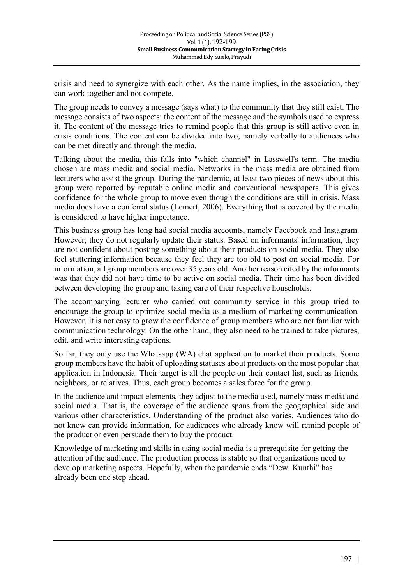crisis and need to synergize with each other. As the name implies, in the association, they can work together and not compete.

The group needs to convey a message (says what) to the community that they still exist. The message consists of two aspects: the content of the message and the symbols used to express it. The content of the message tries to remind people that this group is still active even in crisis conditions. The content can be divided into two, namely verbally to audiences who can be met directly and through the media.

Talking about the media, this falls into "which channel" in Lasswell's term. The media chosen are mass media and social media. Networks in the mass media are obtained from lecturers who assist the group. During the pandemic, at least two pieces of news about this group were reported by reputable online media and conventional newspapers. This gives confidence for the whole group to move even though the conditions are still in crisis. Mass media does have a conferral status (Lemert, 2006). Everything that is covered by the media is considered to have higher importance.

This business group has long had social media accounts, namely Facebook and Instagram. However, they do not regularly update their status. Based on informants' information, they are not confident about posting something about their products on social media. They also feel stuttering information because they feel they are too old to post on social media. For information, all group members are over 35 years old. Another reason cited by the informants was that they did not have time to be active on social media. Their time has been divided between developing the group and taking care of their respective households.

The accompanying lecturer who carried out community service in this group tried to encourage the group to optimize social media as a medium of marketing communication. However, it is not easy to grow the confidence of group members who are not familiar with communication technology. On the other hand, they also need to be trained to take pictures, edit, and write interesting captions.

So far, they only use the Whatsapp (WA) chat application to market their products. Some group members have the habit of uploading statuses about products on the most popular chat application in Indonesia. Their target is all the people on their contact list, such as friends, neighbors, or relatives. Thus, each group becomes a sales force for the group.

In the audience and impact elements, they adjust to the media used, namely mass media and social media. That is, the coverage of the audience spans from the geographical side and various other characteristics. Understanding of the product also varies. Audiences who do not know can provide information, for audiences who already know will remind people of the product or even persuade them to buy the product.

Knowledge of marketing and skills in using social media is a prerequisite for getting the attention of the audience. The production process is stable so that organizations need to develop marketing aspects. Hopefully, when the pandemic ends "Dewi Kunthi" has already been one step ahead.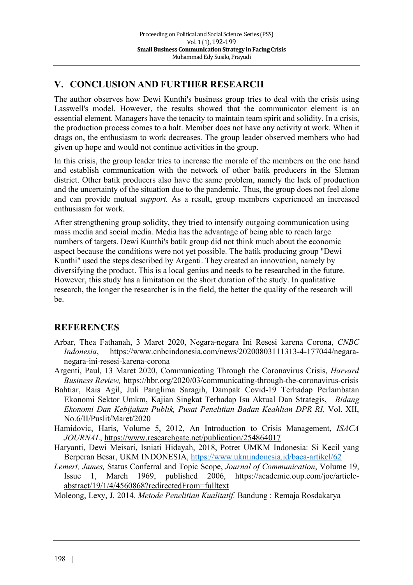## **V. CONCLUSION AND FURTHER RESEARCH**

The author observes how Dewi Kunthi's business group tries to deal with the crisis using Lasswell's model. However, the results showed that the communicator element is an essential element. Managers have the tenacity to maintain team spirit and solidity. In a crisis, the production process comes to a halt. Member does not have any activity at work. When it drags on, the enthusiasm to work decreases. The group leader observed members who had given up hope and would not continue activities in the group.

In this crisis, the group leader tries to increase the morale of the members on the one hand and establish communication with the network of other batik producers in the Sleman district. Other batik producers also have the same problem, namely the lack of production and the uncertainty of the situation due to the pandemic. Thus, the group does not feel alone and can provide mutual *support.* As a result, group members experienced an increased enthusiasm for work.

After strengthening group solidity, they tried to intensify outgoing communication using mass media and social media. Media has the advantage of being able to reach large numbers of targets. Dewi Kunthi's batik group did not think much about the economic aspect because the conditions were not yet possible. The batik producing group "Dewi Kunthi" used the steps described by Argenti. They created an innovation, namely by diversifying the product. This is a local genius and needs to be researched in the future. However, this study has a limitation on the short duration of the study. In qualitative research, the longer the researcher is in the field, the better the quality of the research will be.

### **REFERENCES**

- Arbar, Thea Fathanah, 3 Maret 2020, Negara-negara Ini Resesi karena Corona, *CNBC Indonesia*, https://www.cnbcindonesia.com/news/20200803111313-4-177044/negaranegara-ini-resesi-karena-corona
- Argenti, Paul, 13 Maret 2020, Communicating Through the Coronavirus Crisis, *Harvard Business Review,* https://hbr.org/2020/03/communicating-through-the-coronavirus-crisis
- Bahtiar, Rais Agil, Juli Panglima Saragih, Dampak Covid-19 Terhadap Perlambatan Ekonomi Sektor Umkm, Kajian Singkat Terhadap Isu Aktual Dan Strategis, *Bidang Ekonomi Dan Kebijakan Publik, Pusat Penelitian Badan Keahlian DPR RI,* Vol. XII, No.6/II/Puslit/Maret/2020
- Hamidovic, Haris, Volume 5, 2012, An Introduction to Crisis Management, *ISACA JOURNAL*, https://www.researchgate.net/publication/254864017
- Haryanti, Dewi Meisari, Isniati Hidayah, 2018, Potret UMKM Indonesia: Si Kecil yang Berperan Besar, UKM INDONESIA, https://www.ukmindonesia.id/baca-artikel/62
- *Lemert, James,* Status Conferral and Topic Scope, *Journal of Communication*, Volume 19, Issue 1, March 1969, published 2006, https://academic.oup.com/joc/articleabstract/19/1/4/4560868?redirectedFrom=fulltext
- Moleong, Lexy, J. 2014. *Metode Penelitian Kualitatif.* Bandung : Remaja Rosdakarya